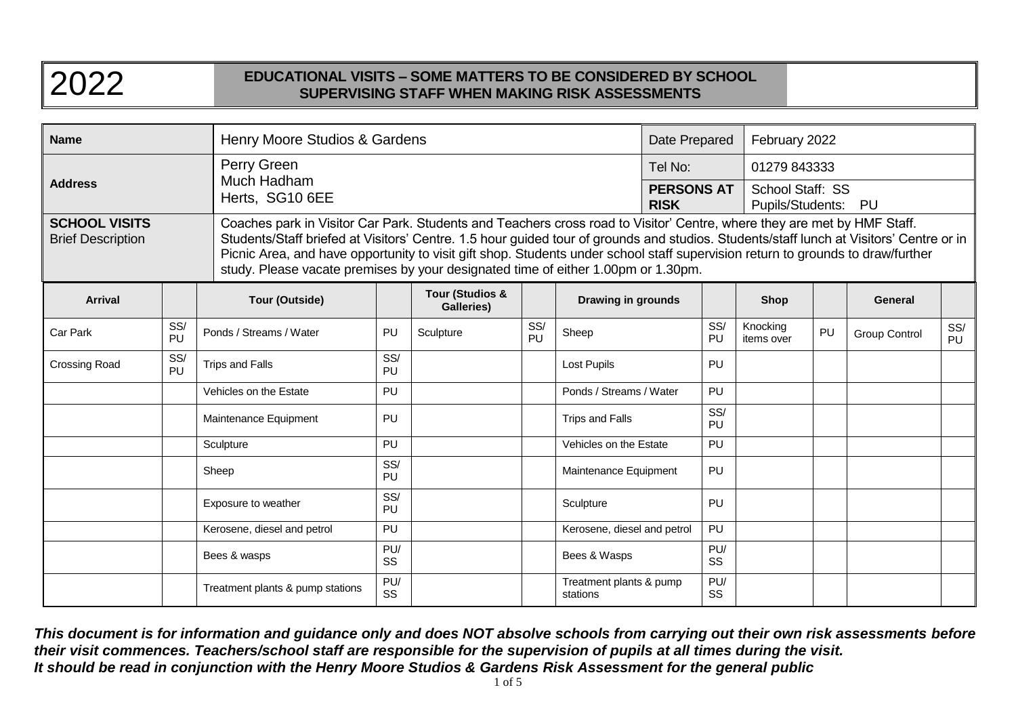| <b>Name</b>                                      |           | Henry Moore Studios & Gardens                 |                                                                                                                                                                                                                                                                                                                                                                                                                                                                                            |                                          |           | Date Prepared                               |  | February 2022                                           |                        |    |                      |           |
|--------------------------------------------------|-----------|-----------------------------------------------|--------------------------------------------------------------------------------------------------------------------------------------------------------------------------------------------------------------------------------------------------------------------------------------------------------------------------------------------------------------------------------------------------------------------------------------------------------------------------------------------|------------------------------------------|-----------|---------------------------------------------|--|---------------------------------------------------------|------------------------|----|----------------------|-----------|
| <b>Address</b>                                   |           | Perry Green<br>Much Hadham<br>Herts, SG10 6EE |                                                                                                                                                                                                                                                                                                                                                                                                                                                                                            |                                          |           | Tel No:<br><b>PERSONS AT</b><br><b>RISK</b> |  | 01279 843333<br>School Staff: SS<br>Pupils/Students: PU |                        |    |                      |           |
| <b>SCHOOL VISITS</b><br><b>Brief Description</b> |           |                                               | Coaches park in Visitor Car Park. Students and Teachers cross road to Visitor' Centre, where they are met by HMF Staff.<br>Students/Staff briefed at Visitors' Centre. 1.5 hour guided tour of grounds and studios. Students/staff lunch at Visitors' Centre or in<br>Picnic Area, and have opportunity to visit gift shop. Students under school staff supervision return to grounds to draw/further<br>study. Please vacate premises by your designated time of either 1.00pm or 1.30pm. |                                          |           |                                             |  |                                                         |                        |    |                      |           |
| <b>Arrival</b>                                   |           | <b>Tour (Outside)</b>                         |                                                                                                                                                                                                                                                                                                                                                                                                                                                                                            | <b>Tour (Studios &amp;</b><br>Galleries) |           | <b>Drawing in grounds</b>                   |  |                                                         | <b>Shop</b>            |    | <b>General</b>       |           |
| Car Park                                         | SS/<br>PU | Ponds / Streams / Water                       | PU                                                                                                                                                                                                                                                                                                                                                                                                                                                                                         | Sculpture                                | SS/<br>PU | Sheep                                       |  | SS/<br>PU                                               | Knocking<br>items over | PU | <b>Group Control</b> | SS/<br>PU |
| Crossing Road                                    | SS/<br>PU | <b>Trips and Falls</b>                        | SS/<br>PU                                                                                                                                                                                                                                                                                                                                                                                                                                                                                  |                                          |           | <b>Lost Pupils</b>                          |  | PU                                                      |                        |    |                      |           |
|                                                  |           | Vehicles on the Estate                        | <b>PU</b>                                                                                                                                                                                                                                                                                                                                                                                                                                                                                  |                                          |           | Ponds / Streams / Water                     |  | <b>PU</b>                                               |                        |    |                      |           |
|                                                  |           | Maintenance Equipment                         | PU                                                                                                                                                                                                                                                                                                                                                                                                                                                                                         |                                          |           | Trips and Falls                             |  | SS/<br><b>PU</b>                                        |                        |    |                      |           |
|                                                  |           | Sculpture                                     | <b>PU</b>                                                                                                                                                                                                                                                                                                                                                                                                                                                                                  |                                          |           | Vehicles on the Estate                      |  | PU                                                      |                        |    |                      |           |
|                                                  |           | Sheep                                         | SS/<br><b>PU</b>                                                                                                                                                                                                                                                                                                                                                                                                                                                                           |                                          |           | Maintenance Equipment                       |  | <b>PU</b>                                               |                        |    |                      |           |
|                                                  |           | Exposure to weather                           | SS/<br><b>PU</b>                                                                                                                                                                                                                                                                                                                                                                                                                                                                           |                                          |           | Sculpture                                   |  | <b>PU</b>                                               |                        |    |                      |           |
|                                                  |           | Kerosene, diesel and petrol                   | PU                                                                                                                                                                                                                                                                                                                                                                                                                                                                                         |                                          |           | Kerosene, diesel and petrol                 |  | <b>PU</b>                                               |                        |    |                      |           |
|                                                  |           | Bees & wasps                                  | PU/<br>SS                                                                                                                                                                                                                                                                                                                                                                                                                                                                                  |                                          |           | Bees & Wasps                                |  | PU/<br>SS                                               |                        |    |                      |           |
|                                                  |           | Treatment plants & pump stations              | PU/<br>SS                                                                                                                                                                                                                                                                                                                                                                                                                                                                                  |                                          |           | Treatment plants & pump<br>stations         |  | PU/<br>SS                                               |                        |    |                      |           |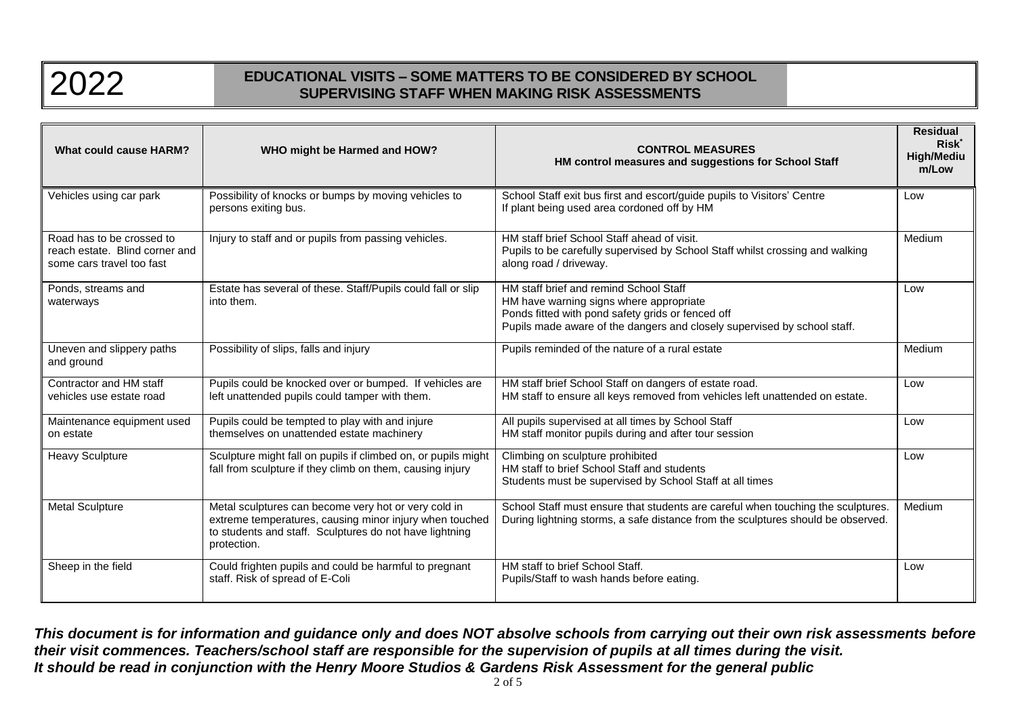

| <b>What could cause HARM?</b>                                                            | WHO might be Harmed and HOW?                                                                                                                                                              | <b>CONTROL MEASURES</b><br>HM control measures and suggestions for School Staff                                                                                                                                    | <b>Residual</b><br><b>Risk</b><br><b>High/Mediu</b><br>m/Low |
|------------------------------------------------------------------------------------------|-------------------------------------------------------------------------------------------------------------------------------------------------------------------------------------------|--------------------------------------------------------------------------------------------------------------------------------------------------------------------------------------------------------------------|--------------------------------------------------------------|
| Vehicles using car park                                                                  | Possibility of knocks or bumps by moving vehicles to<br>persons exiting bus.                                                                                                              | School Staff exit bus first and escort/guide pupils to Visitors' Centre<br>If plant being used area cordoned off by HM                                                                                             | Low                                                          |
| Road has to be crossed to<br>reach estate. Blind corner and<br>some cars travel too fast | Injury to staff and or pupils from passing vehicles.                                                                                                                                      | HM staff brief School Staff ahead of visit.<br>Pupils to be carefully supervised by School Staff whilst crossing and walking<br>along road / driveway.                                                             | Medium                                                       |
| Ponds, streams and<br>waterways                                                          | Estate has several of these. Staff/Pupils could fall or slip<br>into them.                                                                                                                | HM staff brief and remind School Staff<br>HM have warning signs where appropriate<br>Ponds fitted with pond safety grids or fenced off<br>Pupils made aware of the dangers and closely supervised by school staff. | Low                                                          |
| Uneven and slippery paths<br>and ground                                                  | Possibility of slips, falls and injury                                                                                                                                                    | Pupils reminded of the nature of a rural estate                                                                                                                                                                    | Medium                                                       |
| Contractor and HM staff<br>vehicles use estate road                                      | Pupils could be knocked over or bumped. If vehicles are<br>left unattended pupils could tamper with them.                                                                                 | HM staff brief School Staff on dangers of estate road.<br>HM staff to ensure all keys removed from vehicles left unattended on estate.                                                                             | Low                                                          |
| Maintenance equipment used<br>on estate                                                  | Pupils could be tempted to play with and injure<br>themselves on unattended estate machinery                                                                                              | All pupils supervised at all times by School Staff<br>HM staff monitor pupils during and after tour session                                                                                                        | Low                                                          |
| <b>Heavy Sculpture</b>                                                                   | Sculpture might fall on pupils if climbed on, or pupils might<br>fall from sculpture if they climb on them, causing injury                                                                | Climbing on sculpture prohibited<br>HM staff to brief School Staff and students<br>Students must be supervised by School Staff at all times                                                                        | Low                                                          |
| <b>Metal Sculpture</b>                                                                   | Metal sculptures can become very hot or very cold in<br>extreme temperatures, causing minor injury when touched<br>to students and staff. Sculptures do not have lightning<br>protection. | School Staff must ensure that students are careful when touching the sculptures.<br>During lightning storms, a safe distance from the sculptures should be observed.                                               | Medium                                                       |
| Sheep in the field                                                                       | Could frighten pupils and could be harmful to pregnant<br>staff. Risk of spread of E-Coli                                                                                                 | HM staff to brief School Staff.<br>Pupils/Staff to wash hands before eating.                                                                                                                                       | Low                                                          |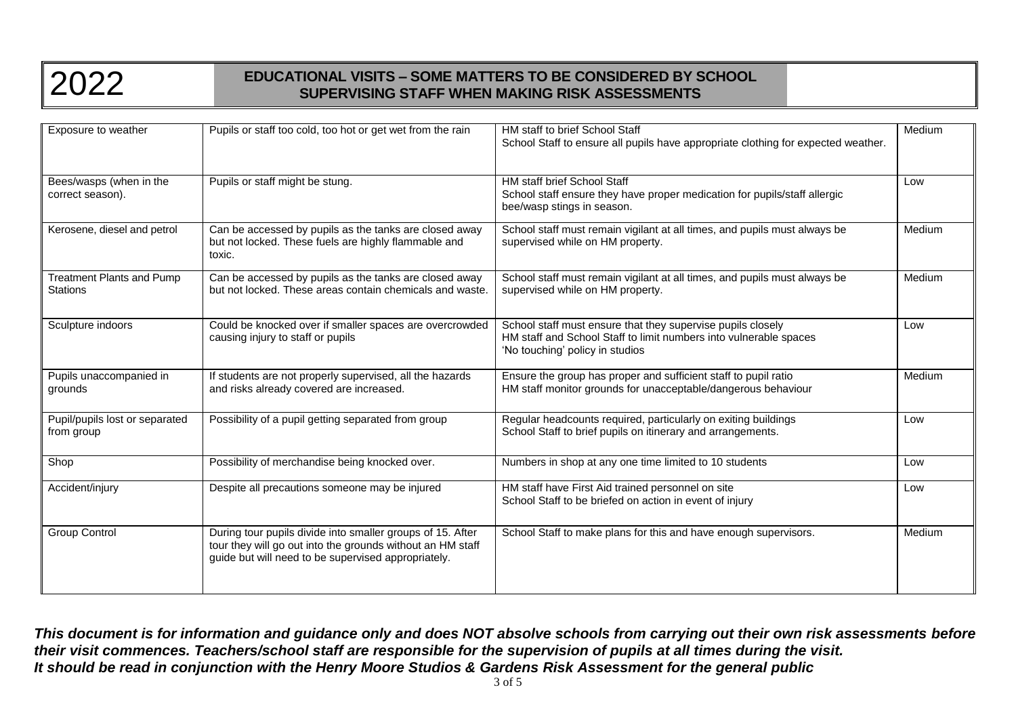

| Exposure to weather                                 | Pupils or staff too cold, too hot or get wet from the rain                                                                                                                      | HM staff to brief School Staff<br>School Staff to ensure all pupils have appropriate clothing for expected weather.                                                 | Medium |
|-----------------------------------------------------|---------------------------------------------------------------------------------------------------------------------------------------------------------------------------------|---------------------------------------------------------------------------------------------------------------------------------------------------------------------|--------|
| Bees/wasps (when in the<br>correct season).         | Pupils or staff might be stung.                                                                                                                                                 | <b>HM staff brief School Staff</b><br>School staff ensure they have proper medication for pupils/staff allergic<br>bee/wasp stings in season.                       | Low    |
| Kerosene, diesel and petrol                         | Can be accessed by pupils as the tanks are closed away<br>but not locked. These fuels are highly flammable and<br>toxic.                                                        | School staff must remain vigilant at all times, and pupils must always be<br>supervised while on HM property.                                                       | Medium |
| <b>Treatment Plants and Pump</b><br><b>Stations</b> | Can be accessed by pupils as the tanks are closed away<br>but not locked. These areas contain chemicals and waste.                                                              | School staff must remain vigilant at all times, and pupils must always be<br>supervised while on HM property.                                                       | Medium |
| Sculpture indoors                                   | Could be knocked over if smaller spaces are overcrowded<br>causing injury to staff or pupils                                                                                    | School staff must ensure that they supervise pupils closely<br>HM staff and School Staff to limit numbers into vulnerable spaces<br>'No touching' policy in studios | Low    |
| Pupils unaccompanied in<br>grounds                  | If students are not properly supervised, all the hazards<br>and risks already covered are increased.                                                                            | Ensure the group has proper and sufficient staff to pupil ratio<br>HM staff monitor grounds for unacceptable/dangerous behaviour                                    | Medium |
| Pupil/pupils lost or separated<br>from group        | Possibility of a pupil getting separated from group                                                                                                                             | Regular headcounts required, particularly on exiting buildings<br>School Staff to brief pupils on itinerary and arrangements.                                       | Low    |
| Shop                                                | Possibility of merchandise being knocked over.                                                                                                                                  | Numbers in shop at any one time limited to 10 students                                                                                                              | Low    |
| Accident/injury                                     | Despite all precautions someone may be injured                                                                                                                                  | HM staff have First Aid trained personnel on site<br>School Staff to be briefed on action in event of injury                                                        | Low    |
| <b>Group Control</b>                                | During tour pupils divide into smaller groups of 15. After<br>tour they will go out into the grounds without an HM staff<br>guide but will need to be supervised appropriately. | School Staff to make plans for this and have enough supervisors.                                                                                                    | Medium |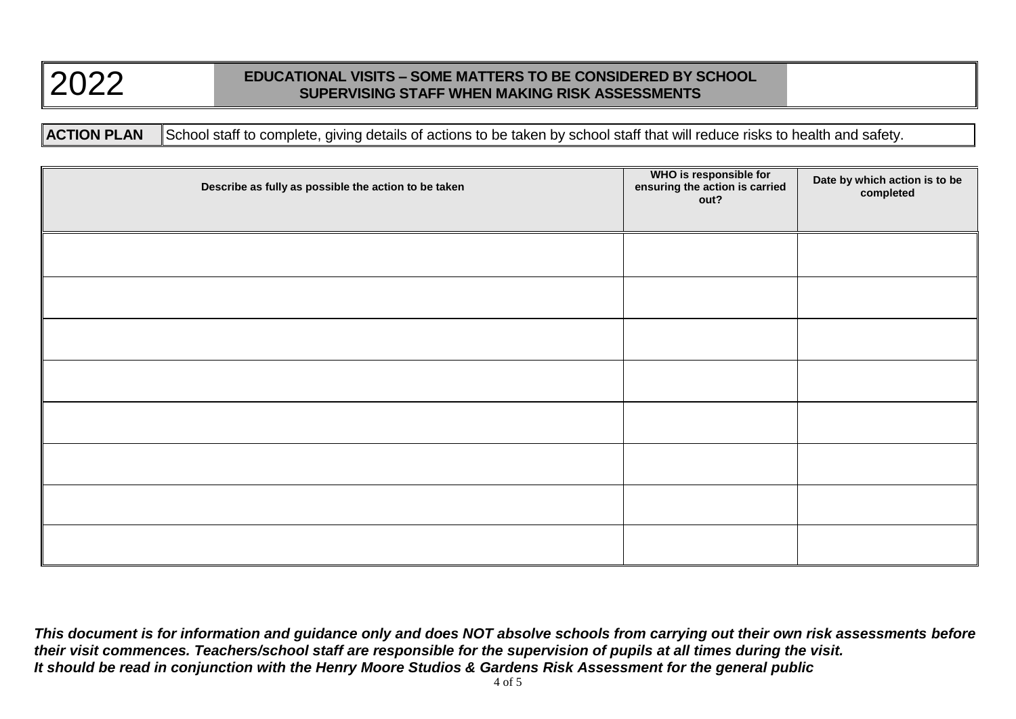**ACTION PLAN** School staff to complete, giving details of actions to be taken by school staff that will reduce risks to health and safety.

| Describe as fully as possible the action to be taken | WHO is responsible for<br>ensuring the action is carried<br>out? | Date by which action is to be<br>completed |
|------------------------------------------------------|------------------------------------------------------------------|--------------------------------------------|
|                                                      |                                                                  |                                            |
|                                                      |                                                                  |                                            |
|                                                      |                                                                  |                                            |
|                                                      |                                                                  |                                            |
|                                                      |                                                                  |                                            |
|                                                      |                                                                  |                                            |
|                                                      |                                                                  |                                            |
|                                                      |                                                                  |                                            |